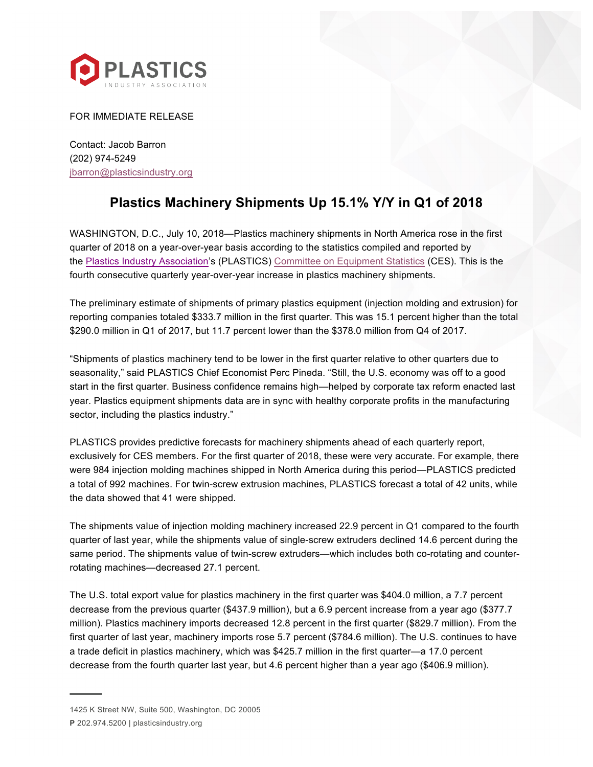

FOR IMMEDIATE RELEASE

Contact: Jacob Barron (202) 974-5249 jbarron@plasticsindustry.org

## **Plastics Machinery Shipments Up 15.1% Y/Y in Q1 of 2018**

WASHINGTON, D.C., July 10, 2018—Plastics machinery shipments in North America rose in the first quarter of 2018 on a year-over-year basis according to the statistics compiled and reported by the Plastics Industry Association's (PLASTICS) Committee on Equipment Statistics (CES). This is the fourth consecutive quarterly year-over-year increase in plastics machinery shipments.

The preliminary estimate of shipments of primary plastics equipment (injection molding and extrusion) for reporting companies totaled \$333.7 million in the first quarter. This was 15.1 percent higher than the total \$290.0 million in Q1 of 2017, but 11.7 percent lower than the \$378.0 million from Q4 of 2017.

"Shipments of plastics machinery tend to be lower in the first quarter relative to other quarters due to seasonality," said PLASTICS Chief Economist Perc Pineda. "Still, the U.S. economy was off to a good start in the first quarter. Business confidence remains high—helped by corporate tax reform enacted last year. Plastics equipment shipments data are in sync with healthy corporate profits in the manufacturing sector, including the plastics industry."

PLASTICS provides predictive forecasts for machinery shipments ahead of each quarterly report, exclusively for CES members. For the first quarter of 2018, these were very accurate. For example, there were 984 injection molding machines shipped in North America during this period—PLASTICS predicted a total of 992 machines. For twin-screw extrusion machines, PLASTICS forecast a total of 42 units, while the data showed that 41 were shipped.

The shipments value of injection molding machinery increased 22.9 percent in Q1 compared to the fourth quarter of last year, while the shipments value of single-screw extruders declined 14.6 percent during the same period. The shipments value of twin-screw extruders—which includes both co-rotating and counterrotating machines—decreased 27.1 percent.

The U.S. total export value for plastics machinery in the first quarter was \$404.0 million, a 7.7 percent decrease from the previous quarter (\$437.9 million), but a 6.9 percent increase from a year ago (\$377.7 million). Plastics machinery imports decreased 12.8 percent in the first quarter (\$829.7 million). From the first quarter of last year, machinery imports rose 5.7 percent (\$784.6 million). The U.S. continues to have a trade deficit in plastics machinery, which was \$425.7 million in the first quarter—a 17.0 percent decrease from the fourth quarter last year, but 4.6 percent higher than a year ago (\$406.9 million).